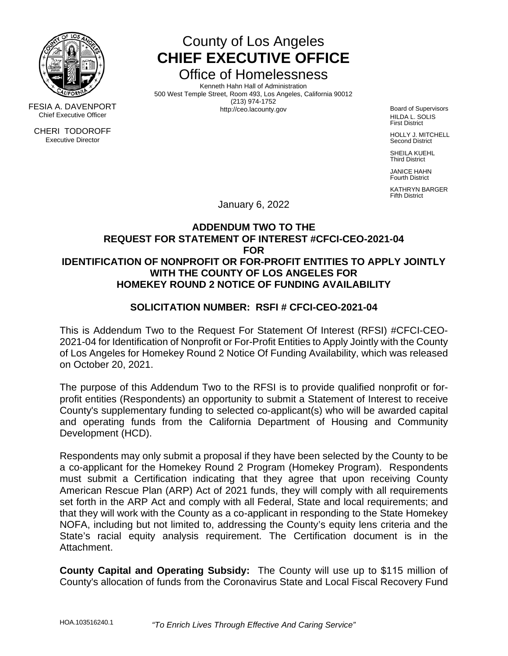

CHERI TODOROFF Executive Director

# County of Los Angeles **CHIEF EXECUTIVE OFFICE** Office of Homelessness

Kenneth Hahn Hall of Administration 500 West Temple Street, Room 493, Los Angeles, California 90012 FESIA A. DAVENPORT http://ceo.lacounty.gov Chief Executive Officer

Board of Supervisors HILDA L. SOLIS First District

HOLLY J. MITCHELL Second District

SHEILA KUEHL Third District

JANICE HAHN Fourth District

KATHRYN BARGER Fifth District

January 6, 2022

### **ADDENDUM TWO TO THE REQUEST FOR STATEMENT OF INTEREST #CFCI-CEO-2021-04 FOR IDENTIFICATION OF NONPROFIT OR FOR-PROFIT ENTITIES TO APPLY JOINTLY WITH THE COUNTY OF LOS ANGELES FOR HOMEKEY ROUND 2 NOTICE OF FUNDING AVAILABILITY**

## **SOLICITATION NUMBER: RSFI # CFCI-CEO-2021-04**

This is Addendum Two to the Request For Statement Of Interest (RFSI) #CFCI-CEO-2021-04 for Identification of Nonprofit or For-Profit Entities to Apply Jointly with the County of Los Angeles for Homekey Round 2 Notice Of Funding Availability, which was released on October 20, 2021.

The purpose of this Addendum Two to the RFSI is to provide qualified nonprofit or forprofit entities (Respondents) an opportunity to submit a Statement of Interest to receive County's supplementary funding to selected co-applicant(s) who will be awarded capital and operating funds from the California Department of Housing and Community Development (HCD).

Respondents may only submit a proposal if they have been selected by the County to be a co-applicant for the Homekey Round 2 Program (Homekey Program). Respondents must submit a Certification indicating that they agree that upon receiving County American Rescue Plan (ARP) Act of 2021 funds, they will comply with all requirements set forth in the ARP Act and comply with all Federal, State and local requirements; and that they will work with the County as a co-applicant in responding to the State Homekey NOFA, including but not limited to, addressing the County's equity lens criteria and the State's racial equity analysis requirement. The Certification document is in the Attachment.

**County Capital and Operating Subsidy:** The County will use up to \$115 million of County's allocation of funds from the Coronavirus State and Local Fiscal Recovery Fund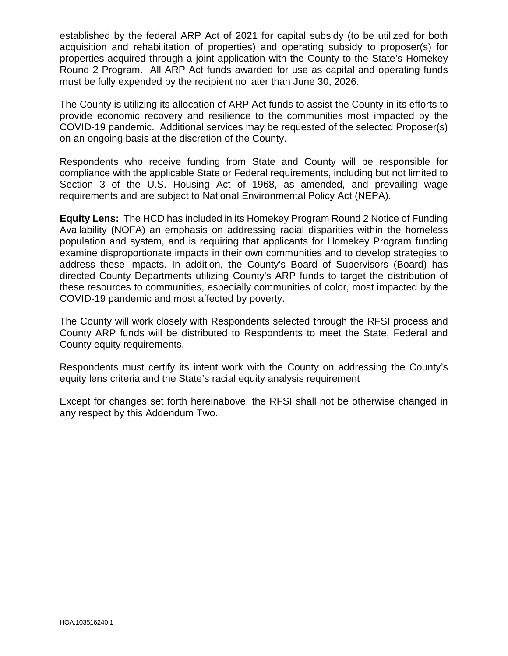established by the federal ARP Act of 2021 for capital subsidy (to be utilized for both acquisition and rehabilitation of properties) and operating subsidy to proposer(s) for properties acquired through a joint application with the County to the State's Homekey Round 2 Program. All ARP Act funds awarded for use as capital and operating funds must be fully expended by the recipient no later than June 30, 2026.

The County is utilizing its allocation of ARP Act funds to assist the County in its efforts to provide economic recovery and resilience to the communities most impacted by the COVID-19 pandemic. Additional services may be requested of the selected Proposer(s) on an ongoing basis at the discretion of the County.

Respondents who receive funding from State and County will be responsible for compliance with the applicable State or Federal requirements, including but not limited to Section 3 of the U.S. Housing Act of 1968, as amended, and prevailing wage requirements and are subject to National Environmental Policy Act (NEPA).

**Equity Lens:** The HCD has included in its Homekey Program Round 2 Notice of Funding Availability (NOFA) an emphasis on addressing racial disparities within the homeless population and system, and is requiring that applicants for Homekey Program funding examine disproportionate impacts in their own communities and to develop strategies to address these impacts. In addition, the County's Board of Supervisors (Board) has directed County Departments utilizing County's ARP funds to target the distribution of these resources to communities, especially communities of color, most impacted by the COVID-19 pandemic and most affected by poverty.

The County will work closely with Respondents selected through the RFSI process and County ARP funds will be distributed to Respondents to meet the State, Federal and County equity requirements.

Respondents must certify its intent work with the County on addressing the County's equity lens criteria and the State's racial equity analysis requirement

Except for changes set forth hereinabove, the RFSI shall not be otherwise changed in any respect by this Addendum Two.